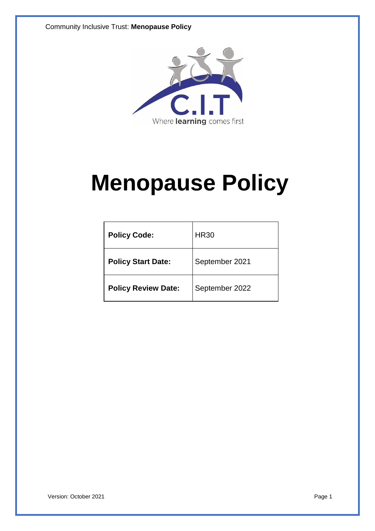

# **Menopause Policy**

| <b>Policy Code:</b>        | <b>HR30</b>    |
|----------------------------|----------------|
| <b>Policy Start Date:</b>  | September 2021 |
| <b>Policy Review Date:</b> | September 2022 |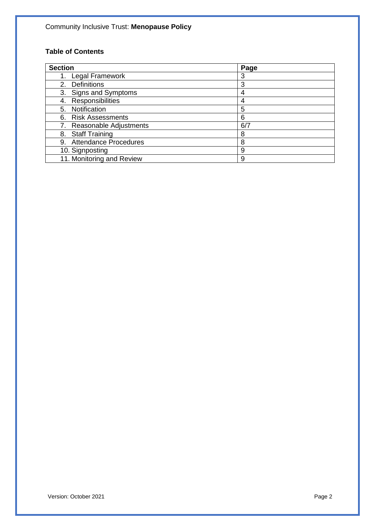# **Table of Contents**

| <b>Section</b>                     | Page |
|------------------------------------|------|
| Legal Framework<br>1.              | 3    |
| <b>Definitions</b><br>$2^{\circ}$  | 3    |
| Signs and Symptoms<br>3.           | 4    |
| Responsibilities<br>4.             | 4    |
| Notification<br>5.                 | 5    |
| 6. Risk Assessments                | 6    |
| 7. Reasonable Adjustments          | 6/7  |
| <b>Staff Training</b><br>8.        | 8    |
| <b>Attendance Procedures</b><br>9. | 8    |
| 10. Signposting                    | 9    |
| 11. Monitoring and Review          | 9    |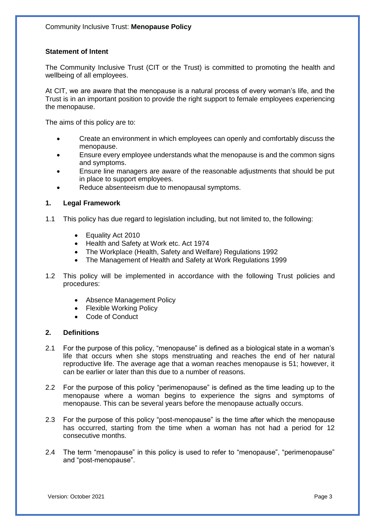#### **Statement of Intent**

The Community Inclusive Trust (CIT or the Trust) is committed to promoting the health and wellbeing of all employees.

At CIT, we are aware that the menopause is a natural process of every woman's life, and the Trust is in an important position to provide the right support to female employees experiencing the menopause.

The aims of this policy are to:

- Create an environment in which employees can openly and comfortably discuss the menopause.
- Ensure every employee understands what the menopause is and the common signs and symptoms.
- Ensure line managers are aware of the reasonable adjustments that should be put in place to support employees.
- Reduce absenteeism due to menopausal symptoms.

#### **1. Legal Framework**

- 1.1 This policy has due regard to legislation including, but not limited to, the following:
	- Equality Act 2010
	- Health and Safety at Work etc. Act 1974
	- The Workplace (Health, Safety and Welfare) Regulations 1992
	- The Management of Health and Safety at Work Regulations 1999
- 1.2 This policy will be implemented in accordance with the following Trust policies and procedures:
	- Absence Management Policy
	- Flexible Working Policy
	- Code of Conduct

#### **2. Definitions**

- 2.1 For the purpose of this policy, "menopause" is defined as a biological state in a woman's life that occurs when she stops menstruating and reaches the end of her natural reproductive life. The average age that a woman reaches menopause is 51; however, it can be earlier or later than this due to a number of reasons.
- 2.2 For the purpose of this policy "perimenopause" is defined as the time leading up to the menopause where a woman begins to experience the signs and symptoms of menopause. This can be several years before the menopause actually occurs.
- 2.3 For the purpose of this policy "post-menopause" is the time after which the menopause has occurred, starting from the time when a woman has not had a period for 12 consecutive months.
- 2.4 The term "menopause" in this policy is used to refer to "menopause", "perimenopause" and "post-menopause".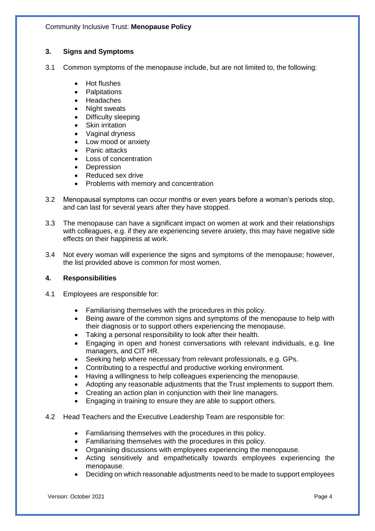## **3. Signs and Symptoms**

- 3.1 Common symptoms of the menopause include, but are not limited to, the following:
	- Hot flushes
	- **Palpitations**
	- **Headaches**
	- Night sweats
	- Difficulty sleeping
	- Skin irritation
	- Vaginal dryness
	- Low mood or anxiety
	- Panic attacks
	- Loss of concentration
	- Depression
	- Reduced sex drive
	- Problems with memory and concentration
- 3.2 Menopausal symptoms can occur months or even years before a woman's periods stop, and can last for several years after they have stopped.
- 3.3 The menopause can have a significant impact on women at work and their relationships with colleagues, e.g. if they are experiencing severe anxiety, this may have negative side effects on their happiness at work.
- 3.4 Not every woman will experience the signs and symptoms of the menopause; however, the list provided above is common for most women.

### **4. Responsibilities**

- 4.1 Employees are responsible for:
	- Familiarising themselves with the procedures in this policy.
	- Being aware of the common signs and symptoms of the menopause to help with their diagnosis or to support others experiencing the menopause.
	- Taking a personal responsibility to look after their health.
	- Engaging in open and honest conversations with relevant individuals, e.g. line managers, and CIT HR.
	- Seeking help where necessary from relevant professionals, e.g. GPs.
	- Contributing to a respectful and productive working environment.
	- Having a willingness to help colleagues experiencing the menopause.
	- Adopting any reasonable adjustments that the Trust implements to support them.
	- Creating an action plan in conjunction with their line managers.
	- Engaging in training to ensure they are able to support others.
- 4.2 Head Teachers and the Executive Leadership Team are responsible for:
	- Familiarising themselves with the procedures in this policy.
	- Familiarising themselves with the procedures in this policy.
	- Organising discussions with employees experiencing the menopause.
	- Acting sensitively and empathetically towards employees experiencing the menopause.
	- Deciding on which reasonable adjustments need to be made to support employees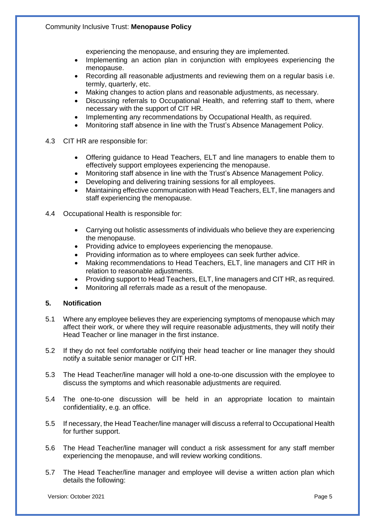experiencing the menopause, and ensuring they are implemented.

- Implementing an action plan in conjunction with employees experiencing the menopause.
- Recording all reasonable adjustments and reviewing them on a regular basis i.e. termly, quarterly, etc.
- Making changes to action plans and reasonable adjustments, as necessary.
- Discussing referrals to Occupational Health, and referring staff to them, where necessary with the support of CIT HR.
- Implementing any recommendations by Occupational Health, as required.
- Monitoring staff absence in line with the Trust's Absence Management Policy.
- 4.3 CIT HR are responsible for:
	- Offering guidance to Head Teachers, ELT and line managers to enable them to effectively support employees experiencing the menopause.
	- Monitoring staff absence in line with the Trust's Absence Management Policy.
	- Developing and delivering training sessions for all employees.
	- Maintaining effective communication with Head Teachers, ELT, line managers and staff experiencing the menopause.
- 4.4 Occupational Health is responsible for:
	- Carrying out holistic assessments of individuals who believe they are experiencing the menopause.
	- Providing advice to employees experiencing the menopause.
	- Providing information as to where employees can seek further advice.
	- Making recommendations to Head Teachers, ELT, line managers and CIT HR in relation to reasonable adjustments.
	- Providing support to Head Teachers, ELT, line managers and CIT HR, as required.
	- Monitoring all referrals made as a result of the menopause.

### **5. Notification**

- 5.1 Where any employee believes they are experiencing symptoms of menopause which may affect their work, or where they will require reasonable adjustments, they will notify their Head Teacher or line manager in the first instance.
- 5.2 If they do not feel comfortable notifying their head teacher or line manager they should notify a suitable senior manager or CIT HR.
- 5.3 The Head Teacher/line manager will hold a one-to-one discussion with the employee to discuss the symptoms and which reasonable adjustments are required.
- 5.4 The one-to-one discussion will be held in an appropriate location to maintain confidentiality, e.g. an office.
- 5.5 If necessary, the Head Teacher/line manager will discuss a referral to Occupational Health for further support.
- 5.6 The Head Teacher/line manager will conduct a risk assessment for any staff member experiencing the menopause, and will review working conditions.
- 5.7 The Head Teacher/line manager and employee will devise a written action plan which details the following: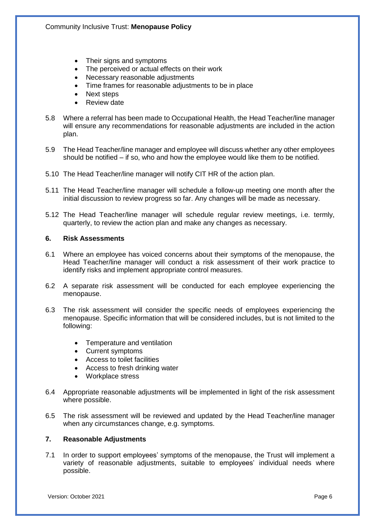- Their signs and symptoms
- The perceived or actual effects on their work
- Necessary reasonable adjustments
- Time frames for reasonable adjustments to be in place
- Next steps
- Review date
- 5.8 Where a referral has been made to Occupational Health, the Head Teacher/line manager will ensure any recommendations for reasonable adjustments are included in the action plan.
- 5.9 The Head Teacher/line manager and employee will discuss whether any other employees should be notified – if so, who and how the employee would like them to be notified.
- 5.10 The Head Teacher/line manager will notify CIT HR of the action plan.
- 5.11 The Head Teacher/line manager will schedule a follow-up meeting one month after the initial discussion to review progress so far. Any changes will be made as necessary.
- 5.12 The Head Teacher/line manager will schedule regular review meetings, i.e. termly, quarterly, to review the action plan and make any changes as necessary.

#### **6. Risk Assessments**

- 6.1 Where an employee has voiced concerns about their symptoms of the menopause, the Head Teacher/line manager will conduct a risk assessment of their work practice to identify risks and implement appropriate control measures.
- 6.2 A separate risk assessment will be conducted for each employee experiencing the menopause.
- 6.3 The risk assessment will consider the specific needs of employees experiencing the menopause. Specific information that will be considered includes, but is not limited to the following:
	- Temperature and ventilation
	- Current symptoms
	- Access to toilet facilities
	- Access to fresh drinking water
	- Workplace stress
- 6.4 Appropriate reasonable adjustments will be implemented in light of the risk assessment where possible.
- 6.5 The risk assessment will be reviewed and updated by the Head Teacher/line manager when any circumstances change, e.g. symptoms.

#### **7. Reasonable Adjustments**

7.1 In order to support employees' symptoms of the menopause, the Trust will implement a variety of reasonable adjustments, suitable to employees' individual needs where possible.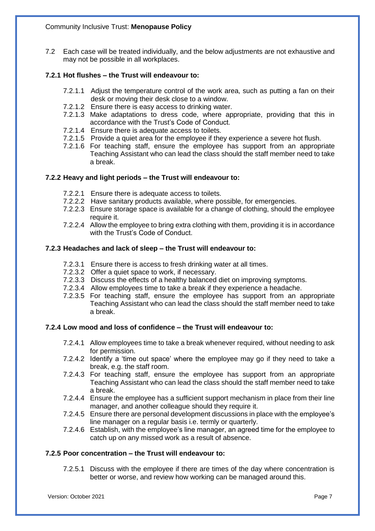7.2 Each case will be treated individually, and the below adjustments are not exhaustive and may not be possible in all workplaces.

#### **7.2.1 Hot flushes – the Trust will endeavour to:**

- 7.2.1.1 Adjust the temperature control of the work area, such as putting a fan on their desk or moving their desk close to a window.
- 7.2.1.2 Ensure there is easy access to drinking water.
- 7.2.1.3 Make adaptations to dress code, where appropriate, providing that this in accordance with the Trust's Code of Conduct.
- 7.2.1.4 Ensure there is adequate access to toilets.
- 7.2.1.5 Provide a quiet area for the employee if they experience a severe hot flush.
- 7.2.1.6 For teaching staff, ensure the employee has support from an appropriate Teaching Assistant who can lead the class should the staff member need to take a break.

#### **7.2.2 Heavy and light periods – the Trust will endeavour to:**

- 7.2.2.1 Ensure there is adequate access to toilets.
- 7.2.2.2 Have sanitary products available, where possible, for emergencies.
- 7.2.2.3 Ensure storage space is available for a change of clothing, should the employee require it.
- 7.2.2.4 Allow the employee to bring extra clothing with them, providing it is in accordance with the Trust's Code of Conduct.

#### **7.2.3 Headaches and lack of sleep – the Trust will endeavour to:**

- 7.2.3.1 Ensure there is access to fresh drinking water at all times.
- 7.2.3.2 Offer a quiet space to work, if necessary.
- 7.2.3.3 Discuss the effects of a healthy balanced diet on improving symptoms.
- 7.2.3.4 Allow employees time to take a break if they experience a headache.
- 7.2.3.5 For teaching staff, ensure the employee has support from an appropriate Teaching Assistant who can lead the class should the staff member need to take a break.

### **7.2.4 Low mood and loss of confidence – the Trust will endeavour to:**

- 7.2.4.1 Allow employees time to take a break whenever required, without needing to ask for permission.
- 7.2.4.2 Identify a 'time out space' where the employee may go if they need to take a break, e.g. the staff room.
- 7.2.4.3 For teaching staff, ensure the employee has support from an appropriate Teaching Assistant who can lead the class should the staff member need to take a break.
- 7.2.4.4 Ensure the employee has a sufficient support mechanism in place from their line manager, and another colleague should they require it.
- 7.2.4.5 Ensure there are personal development discussions in place with the employee's line manager on a regular basis i.e. termly or quarterly.
- 7.2.4.6 Establish, with the employee's line manager, an agreed time for the employee to catch up on any missed work as a result of absence.

#### **7.2.5 Poor concentration – the Trust will endeavour to:**

7.2.5.1 Discuss with the employee if there are times of the day where concentration is better or worse, and review how working can be managed around this.

Version: October 2021 **Page 7**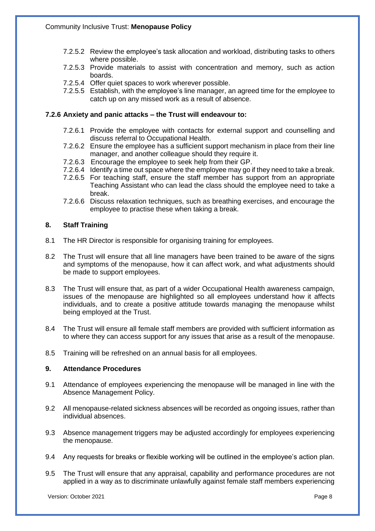- 7.2.5.2 Review the employee's task allocation and workload, distributing tasks to others where possible.
- 7.2.5.3 Provide materials to assist with concentration and memory, such as action boards.
- 7.2.5.4 Offer quiet spaces to work wherever possible.
- 7.2.5.5 Establish, with the employee's line manager, an agreed time for the employee to catch up on any missed work as a result of absence.

#### **7.2.6 Anxiety and panic attacks – the Trust will endeavour to:**

- 7.2.6.1 Provide the employee with contacts for external support and counselling and discuss referral to Occupational Health.
- 7.2.6.2 Ensure the employee has a sufficient support mechanism in place from their line manager, and another colleague should they require it.
- 7.2.6.3 Encourage the employee to seek help from their GP.
- 7.2.6.4 Identify a time out space where the employee may go if they need to take a break.
- 7.2.6.5 For teaching staff, ensure the staff member has support from an appropriate Teaching Assistant who can lead the class should the employee need to take a break.
- 7.2.6.6 Discuss relaxation techniques, such as breathing exercises, and encourage the employee to practise these when taking a break.

#### **8. Staff Training**

- 8.1 The HR Director is responsible for organising training for employees.
- 8.2 The Trust will ensure that all line managers have been trained to be aware of the signs and symptoms of the menopause, how it can affect work, and what adjustments should be made to support employees.
- 8.3 The Trust will ensure that, as part of a wider Occupational Health awareness campaign, issues of the menopause are highlighted so all employees understand how it affects individuals, and to create a positive attitude towards managing the menopause whilst being employed at the Trust.
- 8.4 The Trust will ensure all female staff members are provided with sufficient information as to where they can access support for any issues that arise as a result of the menopause.
- 8.5 Training will be refreshed on an annual basis for all employees.

### **9. Attendance Procedures**

- 9.1 Attendance of employees experiencing the menopause will be managed in line with the Absence Management Policy.
- 9.2 All menopause-related sickness absences will be recorded as ongoing issues, rather than individual absences.
- 9.3 Absence management triggers may be adjusted accordingly for employees experiencing the menopause.
- 9.4 Any requests for breaks or flexible working will be outlined in the employee's action plan.
- 9.5 The Trust will ensure that any appraisal, capability and performance procedures are not applied in a way as to discriminate unlawfully against female staff members experiencing